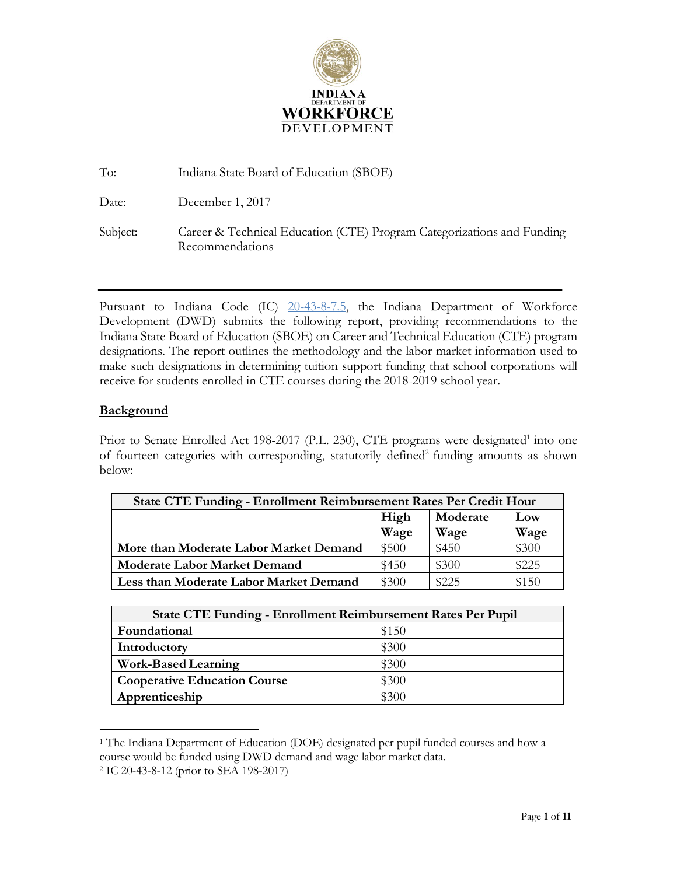

| To:      | Indiana State Board of Education (SBOE)                                                   |
|----------|-------------------------------------------------------------------------------------------|
| Date:    | December 1, 2017                                                                          |
| Subject: | Career & Technical Education (CTE) Program Categorizations and Funding<br>Recommendations |

Pursuant to Indiana Code (IC) [20-43-8-7.5,](http://iga.in.gov/legislative/laws/2017/ic/titles/020#20-43-8) the Indiana Department of Workforce Development (DWD) submits the following report, providing recommendations to the Indiana State Board of Education (SBOE) on Career and Technical Education (CTE) program designations. The report outlines the methodology and the labor market information used to make such designations in determining tuition support funding that school corporations will receive for students enrolled in CTE courses during the 2018-2019 school year.

#### **Background**

Prior to Senate Enrolled Act 198-2017 (P.L. 230), CTE programs were designated<sup>1</sup> into one of fourteen categories with corresponding, statutorily defined<sup>2</sup> funding amounts as shown below:

| <b>State CTE Funding - Enrollment Reimbursement Rates Per Credit Hour</b> |                         |       |       |  |  |  |  |
|---------------------------------------------------------------------------|-------------------------|-------|-------|--|--|--|--|
|                                                                           | Moderate<br>High<br>Low |       |       |  |  |  |  |
|                                                                           | Wage                    | Wage  | Wage  |  |  |  |  |
| More than Moderate Labor Market Demand                                    | \$500                   | \$450 | \$300 |  |  |  |  |
| <b>Moderate Labor Market Demand</b>                                       | \$450                   | \$300 | \$225 |  |  |  |  |
| Less than Moderate Labor Market Demand                                    | \$300                   | \$225 | \$150 |  |  |  |  |

|                                     | <b>State CTE Funding - Enrollment Reimbursement Rates Per Pupil</b> |  |  |  |  |  |
|-------------------------------------|---------------------------------------------------------------------|--|--|--|--|--|
| Foundational                        | \$150                                                               |  |  |  |  |  |
| Introductory                        | \$300                                                               |  |  |  |  |  |
| <b>Work-Based Learning</b>          | \$300                                                               |  |  |  |  |  |
| <b>Cooperative Education Course</b> | \$300                                                               |  |  |  |  |  |
| Apprenticeship                      | \$300                                                               |  |  |  |  |  |

<sup>1</sup> The Indiana Department of Education (DOE) designated per pupil funded courses and how a course would be funded using DWD demand and wage labor market data.

<sup>2</sup> IC 20-43-8-12 (prior to SEA 198-2017)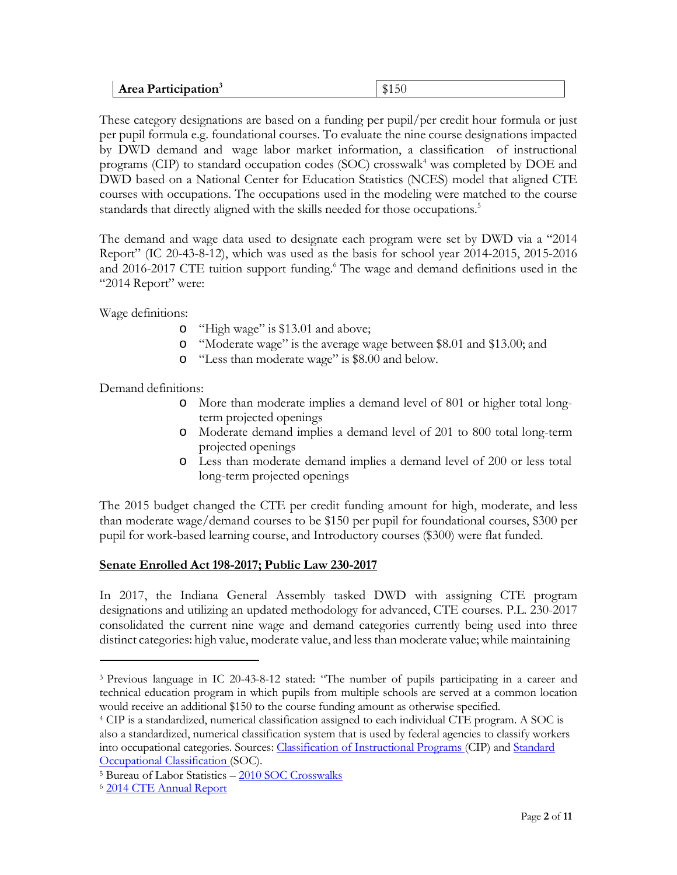| Area Participation <sup>3</sup> | $A$ $A$ $A$ $C$<br>ו ה. |
|---------------------------------|-------------------------|
|---------------------------------|-------------------------|

These category designations are based on a funding per pupil/per credit hour formula or just per pupil formula e.g. foundational courses. To evaluate the nine course designations impacted by DWD demand and wage labor market information, a classification of instructional programs (CIP) to standard occupation codes (SOC) crosswalk<sup>4</sup> was completed by DOE and DWD based on a National Center for Education Statistics (NCES) model that aligned CTE courses with occupations. The occupations used in the modeling were matched to the course standards that directly aligned with the skills needed for those occupations.<sup>5</sup>

The demand and wage data used to designate each program were set by DWD via a "2014 Report" (IC 20-43-8-12), which was used as the basis for school year 2014-2015, 2015-2016 and 2016-2017 CTE tuition support funding.<sup>6</sup> The wage and demand definitions used in the "2014 Report" were:

Wage definitions:

- o "High wage" is \$13.01 and above;
- o "Moderate wage" is the average wage between \$8.01 and \$13.00; and
- o "Less than moderate wage" is \$8.00 and below.

Demand definitions:

- o More than moderate implies a demand level of 801 or higher total longterm projected openings
- o Moderate demand implies a demand level of 201 to 800 total long-term projected openings
- o Less than moderate demand implies a demand level of 200 or less total long-term projected openings

The 2015 budget changed the CTE per credit funding amount for high, moderate, and less than moderate wage/demand courses to be \$150 per pupil for foundational courses, \$300 per pupil for work-based learning course, and Introductory courses (\$300) were flat funded.

## **Senate Enrolled Act 198-2017; Public Law 230-2017**

In 2017, the Indiana General Assembly tasked DWD with assigning CTE program designations and utilizing an updated methodology for advanced, CTE courses. P.L. 230-2017 consolidated the current nine wage and demand categories currently being used into three distinct categories: high value, moderate value, and lessthan moderate value; while maintaining

<sup>3</sup> Previous language in IC 20-43-8-12 stated: "The number of pupils participating in a career and technical education program in which pupils from multiple schools are served at a common location would receive an additional \$150 to the course funding amount as otherwise specified.

<sup>4</sup> CIP is a standardized, numerical classification assigned to each individual CTE program. A SOC is also a standardized, numerical classification system that is used by federal agencies to classify wor[kers](https://www.bls.gov/soc/) into occupational categories. Sources: Classification of [Instructional Programs](https://nces.ed.gov/ipeds/cipcode/resources.aspx?y=55) (CIP) and [Standard](https://www.bls.gov/soc/) [Occupational Classification](https://www.bls.gov/soc/) (SOC).

<sup>5</sup> Bureau of Labor Statistics – [2010 SOC Crosswalks](https://www.bls.gov/soc/soccrosswalks.htm)

<sup>6</sup> [2014 CTE Annual](https://www.doe.in.gov/sites/default/files/cte/2014-indiana-cte-achievements-report-fall-2014.pdf) Report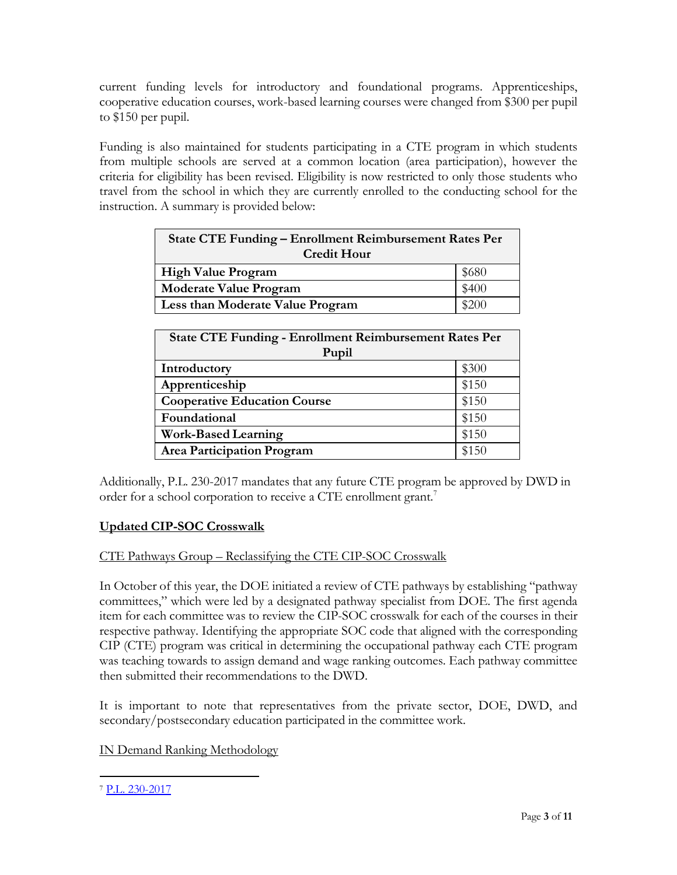current funding levels for introductory and foundational programs. Apprenticeships, cooperative education courses, work-based learning courses were changed from \$300 per pupil to \$150 per pupil.

Funding is also maintained for students participating in a CTE program in which students from multiple schools are served at a common location (area participation), however the criteria for eligibility has been revised. Eligibility is now restricted to only those students who travel from the school in which they are currently enrolled to the conducting school for the instruction. A summary is provided below:

| <b>State CTE Funding – Enrollment Reimbursement Rates Per</b><br><b>Credit Hour</b> |       |  |  |  |
|-------------------------------------------------------------------------------------|-------|--|--|--|
| <b>High Value Program</b>                                                           | \$680 |  |  |  |
| <b>Moderate Value Program</b>                                                       | \$400 |  |  |  |
| Less than Moderate Value Program                                                    | \$200 |  |  |  |

| <b>State CTE Funding - Enrollment Reimbursement Rates Per</b><br>Pupil |       |  |  |  |  |
|------------------------------------------------------------------------|-------|--|--|--|--|
| Introductory                                                           | \$300 |  |  |  |  |
| Apprenticeship                                                         | \$150 |  |  |  |  |
| <b>Cooperative Education Course</b>                                    | \$150 |  |  |  |  |
| Foundational                                                           | \$150 |  |  |  |  |
| <b>Work-Based Learning</b>                                             | \$150 |  |  |  |  |
| <b>Area Participation Program</b>                                      | \$150 |  |  |  |  |

Additionally, P.L. 230-2017 mandates that any future CTE program be approved by DWD in order for a school corporation to receive a CTE enrollment grant.<sup>7</sup>

# **Updated CIP-SOC Crosswalk**

## CTE Pathways Group – Reclassifying the CTE CIP-SOC Crosswalk

In October of this year, the DOE initiated a review of CTE pathways by establishing "pathway committees," which were led by a designated pathway specialist from DOE. The first agenda item for each committee was to review the CIP-SOC crosswalk for each of the courses in their respective pathway. Identifying the appropriate SOC code that aligned with the corresponding CIP (CTE) program was critical in determining the occupational pathway each CTE program was teaching towards to assign demand and wage ranking outcomes. Each pathway committee then submitted their recommendations to the DWD.

It is important to note that representatives from the private sector, DOE, DWD, and secondary/postsecondary education participated in the committee work.

## IN Demand Ranking Methodology

<sup>7</sup> [P.L. 230-2017](http://iga.in.gov/legislative/laws/2017/ic/titles/020#20-43-8-15)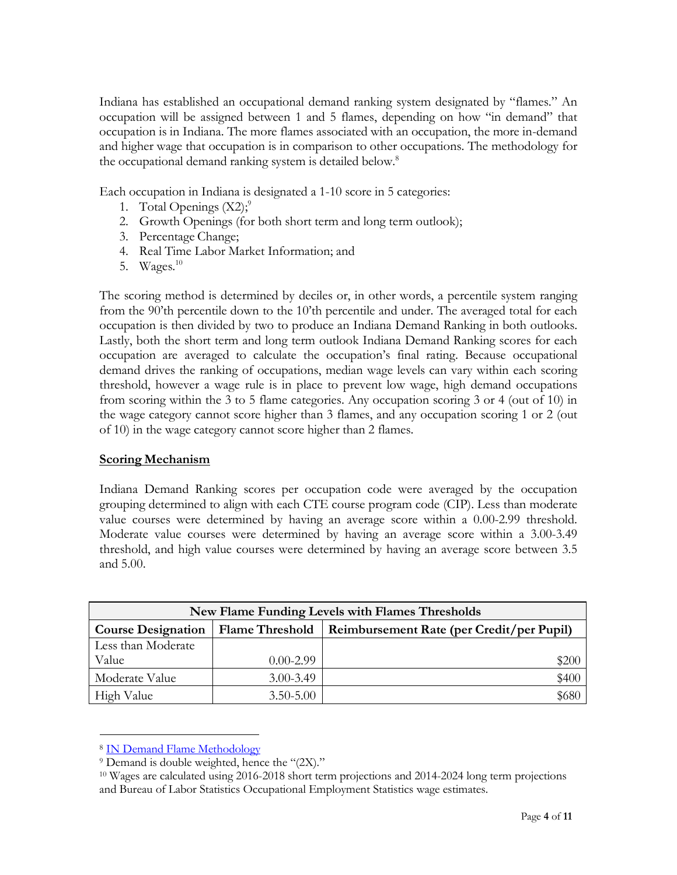Indiana has established an occupational demand ranking system designated by "flames." An occupation will be assigned between 1 and 5 flames, depending on how "in demand" that occupation is in Indiana. The more flames associated with an occupation, the more in-demand and higher wage that occupation is in comparison to other occupations. The methodology for the occupational demand ranking system is detailed below.<sup>8</sup>

Each occupation in Indiana is designated a 1-10 score in 5 categories:

- 1. Total Openings  $(X2)$ ;<sup>9</sup>
- 2. Growth Openings (for both short term and long term outlook);
- 3. Percentage Change;
- 4. Real Time Labor Market Information; and
- 5. Wages. $10$

The scoring method is determined by deciles or, in other words, a percentile system ranging from the 90'th percentile down to the 10'th percentile and under. The averaged total for each occupation is then divided by two to produce an Indiana Demand Ranking in both outlooks. Lastly, both the short term and long term outlook Indiana Demand Ranking scores for each occupation are averaged to calculate the occupation's final rating. Because occupational demand drives the ranking of occupations, median wage levels can vary within each scoring threshold, however a wage rule is in place to prevent low wage, high demand occupations from scoring within the 3 to 5 flame categories. Any occupation scoring 3 or 4 (out of 10) in the wage category cannot score higher than 3 flames, and any occupation scoring 1 or 2 (out of 10) in the wage category cannot score higher than 2 flames.

#### **Scoring Mechanism**

Indiana Demand Ranking scores per occupation code were averaged by the occupation grouping determined to align with each CTE course program code (CIP). Less than moderate value courses were determined by having an average score within a 0.00-2.99 threshold. Moderate value courses were determined by having an average score within a 3.00-3.49 threshold, and high value courses were determined by having an average score between 3.5 and 5.00.

| New Flame Funding Levels with Flames Thresholds                                          |               |       |  |  |  |  |  |
|------------------------------------------------------------------------------------------|---------------|-------|--|--|--|--|--|
| Flame Threshold   Reimbursement Rate (per Credit/per Pupil)<br><b>Course Designation</b> |               |       |  |  |  |  |  |
| Less than Moderate                                                                       |               |       |  |  |  |  |  |
| Value                                                                                    | $0.00 - 2.99$ | \$200 |  |  |  |  |  |
| Moderate Value                                                                           | $3.00 - 3.49$ | \$400 |  |  |  |  |  |
| High Value                                                                               | $3.50 - 5.00$ | \$680 |  |  |  |  |  |

<sup>8</sup> IN Demand Flame [Methodology](https://netsolutions.dwd.in.gov/new/INDemandMethodology.pdf)

<sup>9</sup> Demand is double weighted, hence the "(2X)."

<sup>10</sup> Wages are calculated using 2016-2018 short term projections and 2014-2024 long term projections and Bureau of Labor Statistics Occupational Employment Statistics wage estimates.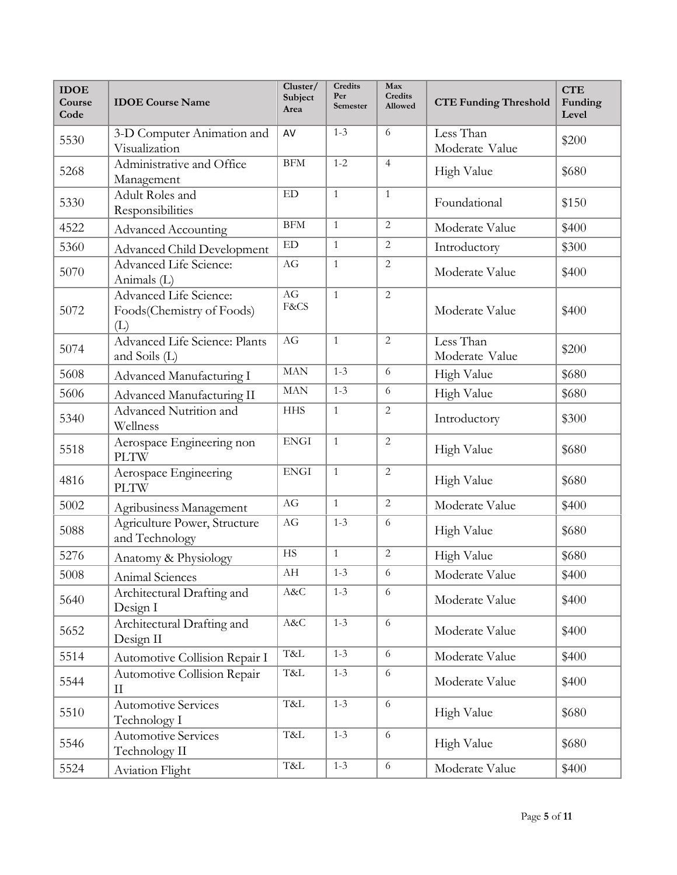| <b>IDOE</b><br>Course<br>Code | <b>IDOE</b> Course Name                                    | Cluster/<br>Subject<br>Area | Credits<br>Per<br>Semester | Max<br><b>Credits</b><br><b>Allowed</b> | <b>CTE Funding Threshold</b> | <b>CTE</b><br>Funding<br>Level |
|-------------------------------|------------------------------------------------------------|-----------------------------|----------------------------|-----------------------------------------|------------------------------|--------------------------------|
| 5530                          | 3-D Computer Animation and<br>Visualization                | AV                          | $1 - 3$                    | 6                                       | Less Than<br>Moderate Value  | \$200                          |
| 5268                          | Administrative and Office<br>Management                    | <b>BFM</b>                  | $1 - 2$                    | $\overline{4}$                          | <b>High Value</b>            | \$680                          |
| 5330                          | Adult Roles and<br>Responsibilities                        | ${\rm ED}$                  | $\mathbf{1}$               | $\mathbf{1}$                            | Foundational                 | \$150                          |
| 4522                          | <b>Advanced Accounting</b>                                 | BFM                         | $\mathbf{1}$               | $\overline{2}$                          | Moderate Value               | \$400                          |
| 5360                          | Advanced Child Development                                 | $\mathop{\rm ED}\nolimits$  | $\mathbf{1}$               | $\overline{2}$                          | Introductory                 | \$300                          |
| 5070                          | Advanced Life Science:<br>Animals (L)                      | AG                          | $\mathbf{1}$               | $\overline{2}$                          | Moderate Value               | \$400                          |
| 5072                          | Advanced Life Science:<br>Foods(Chemistry of Foods)<br>(L) | AG<br>F&CS                  | $\mathbf{1}$               | $\overline{2}$                          | Moderate Value               | \$400                          |
| 5074                          | Advanced Life Science: Plants<br>and Soils (L)             | AG                          | $\mathbf{1}$               | $\overline{2}$                          | Less Than<br>Moderate Value  | \$200                          |
| 5608                          | Advanced Manufacturing I                                   | <b>MAN</b>                  | $1 - 3$                    | 6                                       | High Value                   | \$680                          |
| 5606                          | Advanced Manufacturing II                                  | MAN                         | $1 - 3$                    | 6                                       | High Value                   | \$680                          |
| 5340                          | Advanced Nutrition and<br>Wellness                         | <b>HHS</b>                  | $\mathbf{1}$               | $\overline{2}$                          | Introductory                 | \$300                          |
| 5518                          | Aerospace Engineering non<br><b>PLTW</b>                   | <b>ENGI</b>                 | $\mathbf{1}$               | $\overline{2}$                          | High Value                   | \$680                          |
| 4816                          | Aerospace Engineering<br><b>PLTW</b>                       | <b>ENGI</b>                 | $\mathbf{1}$               | $\overline{c}$                          | <b>High Value</b>            | \$680                          |
| 5002                          | Agribusiness Management                                    | AG                          | $\mathbf{1}$               | $\overline{2}$                          | Moderate Value               | \$400                          |
| 5088                          | Agriculture Power, Structure<br>and Technology             | AG                          | $1 - 3$                    | 6                                       | <b>High Value</b>            | \$680                          |
| 5276                          | Anatomy & Physiology                                       | <b>HS</b>                   | $\mathbf{1}$               | $\overline{2}$                          | High Value                   | \$680                          |
| 5008                          | Animal Sciences                                            | AH                          | $1 - 3$                    | $\sqrt{6}$                              | Moderate Value               | \$400                          |
| 5640                          | Architectural Drafting and<br>Design I                     | A&C                         | $1 - 3$                    | 6                                       | Moderate Value               | \$400                          |
| 5652                          | Architectural Drafting and<br>Design II                    | A&C                         | $1 - 3$                    | $\sqrt{6}$                              | Moderate Value               | \$400                          |
| 5514                          | Automotive Collision Repair I                              | T&L                         | $1 - 3$                    | 6                                       | Moderate Value               | \$400                          |
| 5544                          | Automotive Collision Repair<br>П                           | T&L                         | $1 - 3$                    | $\sqrt{6}$                              | Moderate Value               | \$400                          |
| 5510                          | <b>Automotive Services</b><br>Technology I                 | T&L                         | $1 - 3$                    | 6                                       | High Value                   | \$680                          |
| 5546                          | <b>Automotive Services</b><br>Technology II                | T&L                         | $1 - 3$                    | 6                                       | High Value                   | \$680                          |
| 5524                          | Aviation Flight                                            | T&L                         | $1 - 3$                    | $\epsilon$                              | Moderate Value               | \$400                          |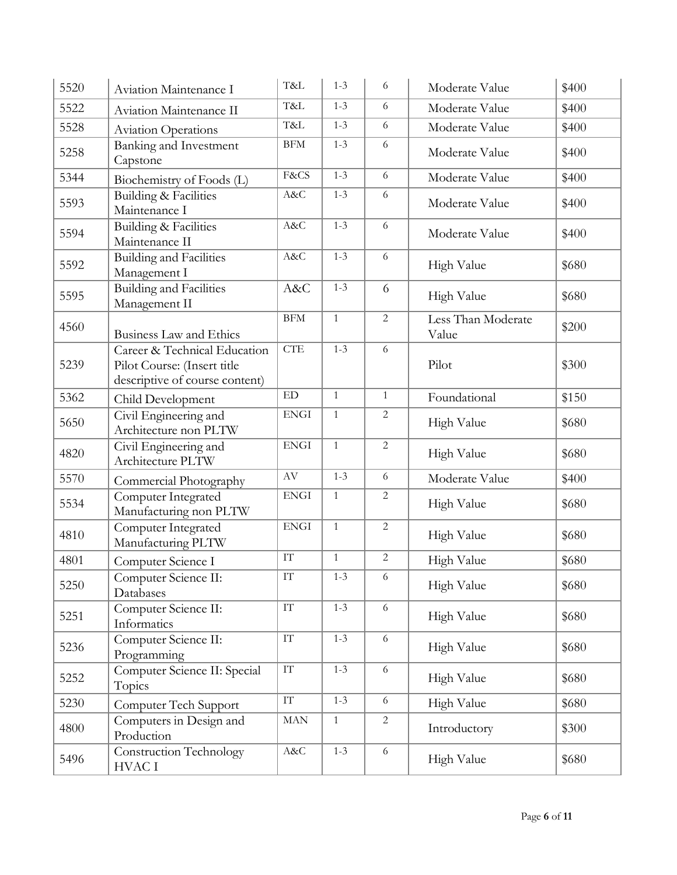| 5520 | Aviation Maintenance I                                                                        | T&L                      | $1 - 3$        | 6              | Moderate Value              | \$400 |
|------|-----------------------------------------------------------------------------------------------|--------------------------|----------------|----------------|-----------------------------|-------|
| 5522 | Aviation Maintenance II                                                                       | T&L                      | $1 - 3$        | 6              | Moderate Value              | \$400 |
| 5528 | <b>Aviation Operations</b>                                                                    | T&L                      | $1 - 3$        | 6              | Moderate Value              | \$400 |
| 5258 | Banking and Investment<br>Capstone                                                            | BFM                      | $1 - 3$        | 6              | Moderate Value              | \$400 |
| 5344 | Biochemistry of Foods (L)                                                                     | F&CS                     | $1 - 3$        | 6              | Moderate Value              | \$400 |
| 5593 | Building & Facilities<br>Maintenance I                                                        | A&C                      | $1 - 3$        | 6              | Moderate Value              | \$400 |
| 5594 | <b>Building &amp; Facilities</b><br>Maintenance II                                            | A&C                      | $1 - 3$        | 6              | Moderate Value              | \$400 |
| 5592 | <b>Building and Facilities</b><br>Management I                                                | A&C                      | $1 - 3$        | 6              | High Value                  | \$680 |
| 5595 | <b>Building and Facilities</b><br>Management II                                               | A&C                      | $1 - 3$        | 6              | High Value                  | \$680 |
| 4560 | Business Law and Ethics                                                                       | <b>BFM</b>               | $\mathbf{1}$   | $\sqrt{2}$     | Less Than Moderate<br>Value | \$200 |
| 5239 | Career & Technical Education<br>Pilot Course: (Insert title<br>descriptive of course content) | <b>CTE</b>               | $1 - 3$        | 6              | Pilot                       | \$300 |
| 5362 | Child Development                                                                             | ${\rm ED}$               | $\overline{1}$ | $\mathbf{1}$   | Foundational                | \$150 |
| 5650 | Civil Engineering and<br>Architecture non PLTW                                                | <b>ENGI</b>              | $\mathbf{1}$   | $\overline{2}$ | High Value                  | \$680 |
| 4820 | Civil Engineering and<br>Architecture PLTW                                                    | <b>ENGI</b>              | $\mathbf{1}$   | $\overline{2}$ | High Value                  | \$680 |
| 5570 | Commercial Photography                                                                        | AV                       | $1 - 3$        | 6              | Moderate Value              | \$400 |
| 5534 | Computer Integrated<br>Manufacturing non PLTW                                                 | <b>ENGI</b>              | $\mathbf{1}$   | $\overline{2}$ | High Value                  | \$680 |
| 4810 | Computer Integrated<br>Manufacturing PLTW                                                     | <b>ENGI</b>              | $\mathbf{1}$   | $\overline{2}$ | High Value                  | \$680 |
| 4801 | Computer Science I                                                                            | $\mathcal{I}\mathcal{T}$ | $\mathbf{1}$   | $\overline{2}$ | High Value                  | \$680 |
| 5250 | Computer Science II:<br>Databases                                                             | IТ                       | $1 - 3$        | 6              | High Value                  | \$680 |
| 5251 | Computer Science II:<br>Informatics                                                           | IT                       | $1 - 3$        | 6              | High Value                  | \$680 |
| 5236 | Computer Science II:<br>Programming                                                           | $\ensuremath{\text{IT}}$ | $1 - 3$        | 6              | High Value                  | \$680 |
| 5252 | Computer Science II: Special<br>Topics                                                        | $\mathop{\text{IT}}$     | $1 - 3$        | 6              | High Value                  | \$680 |
| 5230 | Computer Tech Support                                                                         | $\overline{\text{IT}}$   | $1 - 3$        | 6              | High Value                  | \$680 |
| 4800 | Computers in Design and<br>Production                                                         | $\operatorname{MAN}$     | $\mathbf{1}$   | $\overline{2}$ | Introductory                | \$300 |
| 5496 | Construction Technology<br>HVAC I                                                             | A&C                      | $1 - 3$        | 6              | High Value                  | \$680 |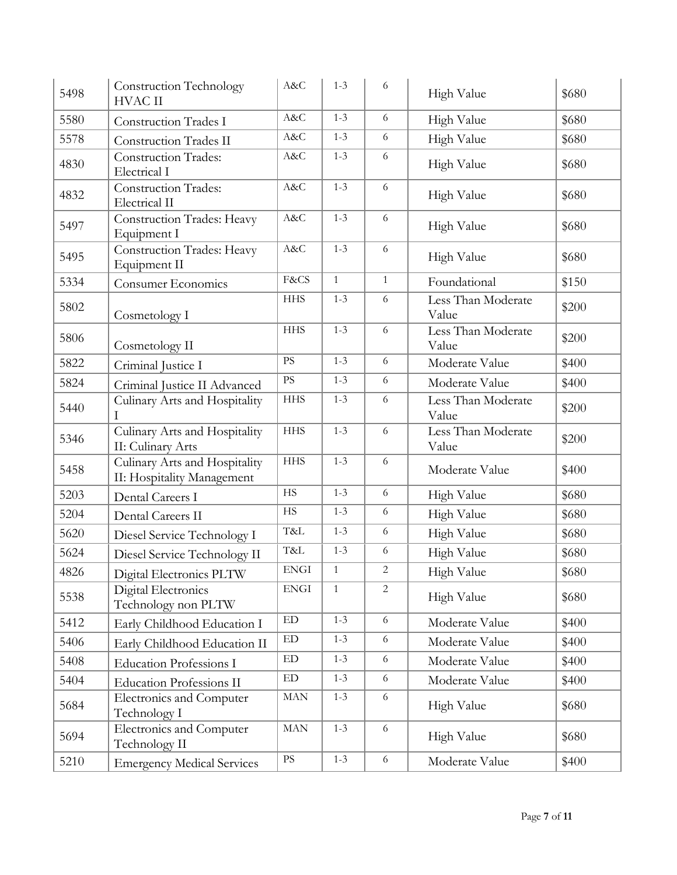| 5498 | <b>Construction Technology</b><br><b>HVAC II</b>            | A&C                        | $1 - 3$      | 6              | High Value                  | \$680 |
|------|-------------------------------------------------------------|----------------------------|--------------|----------------|-----------------------------|-------|
| 5580 | <b>Construction Trades I</b>                                | A&C                        | $1 - 3$      | 6              | High Value                  | \$680 |
| 5578 | Construction Trades II                                      | A&C                        | $1 - 3$      | 6              | High Value                  | \$680 |
| 4830 | <b>Construction Trades:</b><br>Electrical I                 | A&C                        | $1 - 3$      | 6              | High Value                  | \$680 |
| 4832 | <b>Construction Trades:</b><br>Electrical II                | A&C                        | $1 - 3$      | 6              | High Value                  | \$680 |
| 5497 | <b>Construction Trades: Heavy</b><br>Equipment I            | A&C                        | $1 - 3$      | 6              | High Value                  | \$680 |
| 5495 | Construction Trades: Heavy<br>Equipment II                  | A&C                        | $1 - 3$      | 6              | High Value                  | \$680 |
| 5334 | Consumer Economics                                          | F&CS                       | $\mathbf{1}$ | $\mathbf{1}$   | Foundational                | \$150 |
| 5802 | Cosmetology I                                               | <b>HHS</b>                 | $1 - 3$      | 6              | Less Than Moderate<br>Value | \$200 |
| 5806 | Cosmetology II                                              | <b>HHS</b>                 | $1 - 3$      | 6              | Less Than Moderate<br>Value | \$200 |
| 5822 | Criminal Justice I                                          | $\mathbf{P}\mathbf{S}$     | $1 - 3$      | 6              | Moderate Value              | \$400 |
| 5824 | Criminal Justice II Advanced                                | $\mathbf{P}\mathbf{S}$     | $1 - 3$      | 6              | Moderate Value              | \$400 |
| 5440 | Culinary Arts and Hospitality                               | <b>HHS</b>                 | $1 - 3$      | 6              | Less Than Moderate<br>Value | \$200 |
| 5346 | Culinary Arts and Hospitality<br>II: Culinary Arts          | <b>HHS</b>                 | $1 - 3$      | 6              | Less Than Moderate<br>Value | \$200 |
| 5458 | Culinary Arts and Hospitality<br>II: Hospitality Management | <b>HHS</b>                 | $1 - 3$      | 6              | Moderate Value              | \$400 |
| 5203 | Dental Careers I                                            | <b>HS</b>                  | $1 - 3$      | 6              | High Value                  | \$680 |
| 5204 | Dental Careers II                                           | <b>HS</b>                  | $1 - 3$      | 6              | High Value                  | \$680 |
| 5620 | Diesel Service Technology I                                 | T&L                        | $1 - 3$      | 6              | High Value                  | \$680 |
| 5624 | Diesel Service Technology II                                | T&L                        | $1 - 3$      | $\sqrt{6}$     | High Value                  | \$680 |
| 4826 | Digital Electronics PLTW                                    | <b>ENGI</b>                | $\mathbf{1}$ | $\sqrt{2}$     | <b>High Value</b>           | \$680 |
| 5538 | Digital Electronics<br>Technology non PLTW                  | <b>ENGI</b>                | $\mathbf{1}$ | $\overline{2}$ | High Value                  | \$680 |
| 5412 | Early Childhood Education I                                 | ED                         | $1 - 3$      | 6              | Moderate Value              | \$400 |
| 5406 | Early Childhood Education II                                | $\mathop{\rm ED}\nolimits$ | $1 - 3$      | 6              | Moderate Value              | \$400 |
| 5408 | <b>Education Professions I</b>                              | ED                         | $1 - 3$      | 6              | Moderate Value              | \$400 |
| 5404 | <b>Education Professions II</b>                             | ED                         | $1 - 3$      | 6              | Moderate Value              | \$400 |
| 5684 | Electronics and Computer<br>Technology I                    | $\operatorname{MAN}$       | $1 - 3$      | 6              | High Value                  | \$680 |
| 5694 | Electronics and Computer<br>Technology II                   | MAN                        | $1 - 3$      | 6              | High Value                  | \$680 |
| 5210 | <b>Emergency Medical Services</b>                           | $\rm PS$                   | $1 - 3$      | 6              | Moderate Value              | \$400 |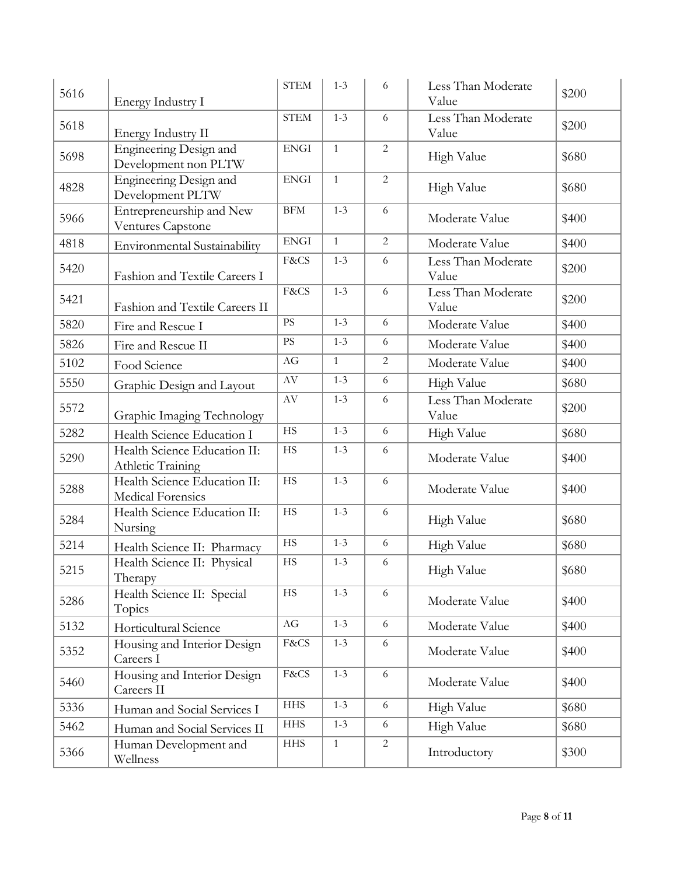| 5616 | Energy Industry I                                 | <b>STEM</b>            | $1 - 3$        | 6              | Less Than Moderate<br>Value | \$200 |
|------|---------------------------------------------------|------------------------|----------------|----------------|-----------------------------|-------|
| 5618 | Energy Industry II                                | <b>STEM</b>            | $1 - 3$        | 6              | Less Than Moderate<br>Value | \$200 |
| 5698 | Engineering Design and<br>Development non PLTW    | <b>ENGI</b>            | $\mathbf{1}$   | $\overline{2}$ | High Value                  | \$680 |
| 4828 | Engineering Design and<br>Development PLTW        | <b>ENGI</b>            | $\mathbf{1}$   | $\overline{c}$ | High Value                  | \$680 |
| 5966 | Entrepreneurship and New<br>Ventures Capstone     | BFM                    | $1 - 3$        | 6              | Moderate Value              | \$400 |
| 4818 | Environmental Sustainability                      | <b>ENGI</b>            | $\overline{1}$ | $\overline{2}$ | Moderate Value              | \$400 |
| 5420 | Fashion and Textile Careers I                     | F&CS                   | $1 - 3$        | 6              | Less Than Moderate<br>Value | \$200 |
| 5421 | Fashion and Textile Careers II                    | F&CS                   | $1 - 3$        | 6              | Less Than Moderate<br>Value | \$200 |
| 5820 | Fire and Rescue I                                 | $\mathbf{P}\mathbf{S}$ | $1 - 3$        | 6              | Moderate Value              | \$400 |
| 5826 | Fire and Rescue II                                | $\mathbf{P}\mathbf{S}$ | $1 - 3$        | 6              | Moderate Value              | \$400 |
| 5102 | Food Science                                      | AG                     | $\mathbf{1}$   | $\overline{2}$ | Moderate Value              | \$400 |
| 5550 | Graphic Design and Layout                         | $\rm{AV}$              | $1 - 3$        | 6              | High Value                  | \$680 |
| 5572 | Graphic Imaging Technology                        | $\rm{AV}$              | $1 - 3$        | 6              | Less Than Moderate<br>Value | \$200 |
| 5282 | Health Science Education I                        | HS                     | $1 - 3$        | 6              | High Value                  | \$680 |
| 5290 | Health Science Education II:<br>Athletic Training | <b>HS</b>              | $1 - 3$        | 6              | Moderate Value              | \$400 |
| 5288 | Health Science Education II:<br>Medical Forensics | <b>HS</b>              | $1 - 3$        | 6              | Moderate Value              | \$400 |
| 5284 | Health Science Education II:<br>Nursing           | HS                     | $1 - 3$        | 6              | High Value                  | \$680 |
| 5214 | Health Science II: Pharmacy                       | HS                     | $1 - 3$        | 6              | High Value                  | \$680 |
| 5215 | Health Science II: Physical<br>Therapy            | $\rm HS$               | $1 - 3$        | 6              | High Value                  | \$680 |
| 5286 | Health Science II: Special<br>Topics              | $\rm{HS}$              | $1 - 3$        | 6              | Moderate Value              | \$400 |
| 5132 | Horticultural Science                             | AG                     | $1 - 3$        | 6              | Moderate Value              | \$400 |
| 5352 | Housing and Interior Design<br>Careers I          | F&CS                   | $1 - 3$        | 6              | Moderate Value              | \$400 |
| 5460 | Housing and Interior Design<br>Careers II         | F&CS                   | $1 - 3$        | 6              | Moderate Value              | \$400 |
| 5336 | Human and Social Services I                       | <b>HHS</b>             | $1 - 3$        | 6              | High Value                  | \$680 |
| 5462 | Human and Social Services II                      | <b>HHS</b>             | $1 - 3$        | 6              | High Value                  | \$680 |
| 5366 | Human Development and<br>Wellness                 | <b>HHS</b>             | $\mathbf{1}$   | 2              | Introductory                | \$300 |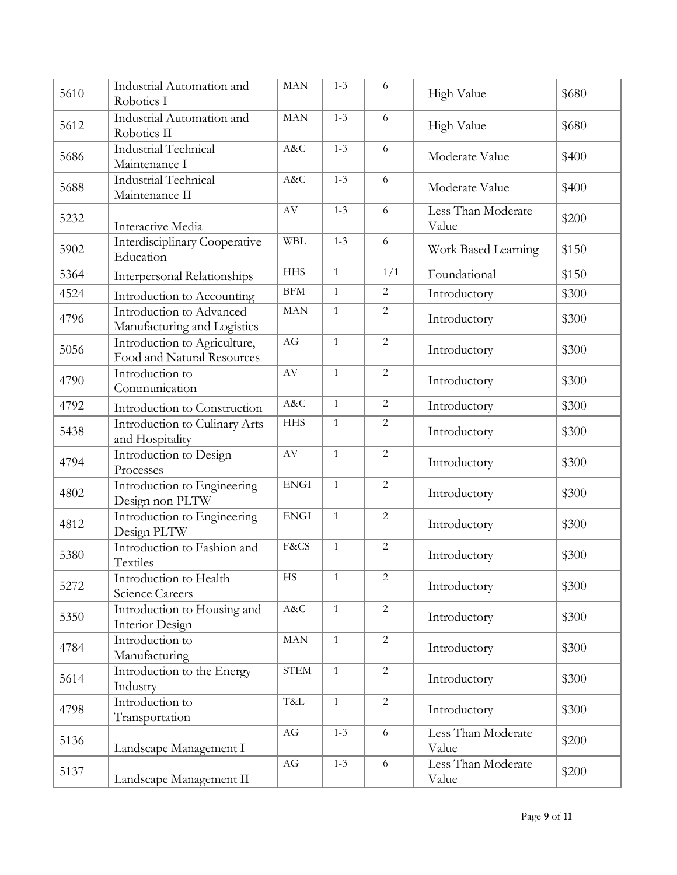| 5610 | Industrial Automation and<br>Robotics I                    | <b>MAN</b>               | $1 - 3$      | 6              | High Value                  | \$680 |
|------|------------------------------------------------------------|--------------------------|--------------|----------------|-----------------------------|-------|
| 5612 | Industrial Automation and<br>Robotics II                   | <b>MAN</b>               | $1 - 3$      | 6              | High Value                  | \$680 |
| 5686 | Industrial Technical<br>Maintenance I                      | A&C                      | $1 - 3$      | 6              | Moderate Value              | \$400 |
| 5688 | Industrial Technical<br>Maintenance II                     | A&C                      | $1 - 3$      | 6              | Moderate Value              | \$400 |
| 5232 | Interactive Media                                          | AV                       | $1 - 3$      | 6              | Less Than Moderate<br>Value | \$200 |
| 5902 | Interdisciplinary Cooperative<br>Education                 | <b>WBL</b>               | $1 - 3$      | 6              | Work Based Learning         | \$150 |
| 5364 | <b>Interpersonal Relationships</b>                         | <b>HHS</b>               | $\mathbf{1}$ | 1/1            | Foundational                | \$150 |
| 4524 | Introduction to Accounting                                 | BFM                      | $\mathbf{1}$ | 2              | Introductory                | \$300 |
| 4796 | Introduction to Advanced<br>Manufacturing and Logistics    | <b>MAN</b>               | $\mathbf{1}$ | $\overline{2}$ | Introductory                | \$300 |
| 5056 | Introduction to Agriculture,<br>Food and Natural Resources | AG                       | $\mathbf{1}$ | $\overline{2}$ | Introductory                | \$300 |
| 4790 | Introduction to<br>Communication                           | AV                       | $\mathbf{1}$ | 2              | Introductory                | \$300 |
| 4792 | Introduction to Construction                               | A&C                      | $\mathbf{1}$ | $\overline{2}$ | Introductory                | \$300 |
| 5438 | Introduction to Culinary Arts<br>and Hospitality           | <b>HHS</b>               | $\mathbf{1}$ | 2              | Introductory                | \$300 |
| 4794 | Introduction to Design<br>Processes                        | AV                       | $\mathbf{1}$ | $\overline{2}$ | Introductory                | \$300 |
| 4802 | Introduction to Engineering<br>Design non PLTW             | <b>ENGI</b>              | $\mathbf{1}$ | $\overline{2}$ | Introductory                | \$300 |
| 4812 | Introduction to Engineering<br>Design PLTW                 | <b>ENGI</b>              | $\mathbf{1}$ | $\overline{2}$ | Introductory                | \$300 |
| 5380 | Introduction to Fashion and<br>Textiles                    | F&CS                     | $\mathbf{1}$ | $\overline{2}$ | Introductory                | \$300 |
| 5272 | Introduction to Health<br><b>Science Careers</b>           | <b>HS</b>                | $\mathbf{1}$ | $\overline{c}$ | Introductory                | \$300 |
| 5350 | Introduction to Housing and<br>Interior Design             | $\mathrm{A}\&\mathrm{C}$ | $\mathbf{1}$ | $\overline{2}$ | Introductory                | \$300 |
| 4784 | Introduction to<br>Manufacturing                           | MAN                      | $\mathbf{1}$ | $\overline{2}$ | Introductory                | \$300 |
| 5614 | Introduction to the Energy<br>Industry                     | <b>STEM</b>              | $\mathbf{1}$ | $\overline{2}$ | Introductory                | \$300 |
| 4798 | Introduction to<br>Transportation                          | T&L                      | $\mathbf{1}$ | $\overline{2}$ | Introductory                | \$300 |
| 5136 | Landscape Management I                                     | $\rm{AG}$                | $1 - 3$      | 6              | Less Than Moderate<br>Value | \$200 |
| 5137 | Landscape Management II                                    | $\rm{AG}$                | $1 - 3$      | $\sqrt{6}$     | Less Than Moderate<br>Value | \$200 |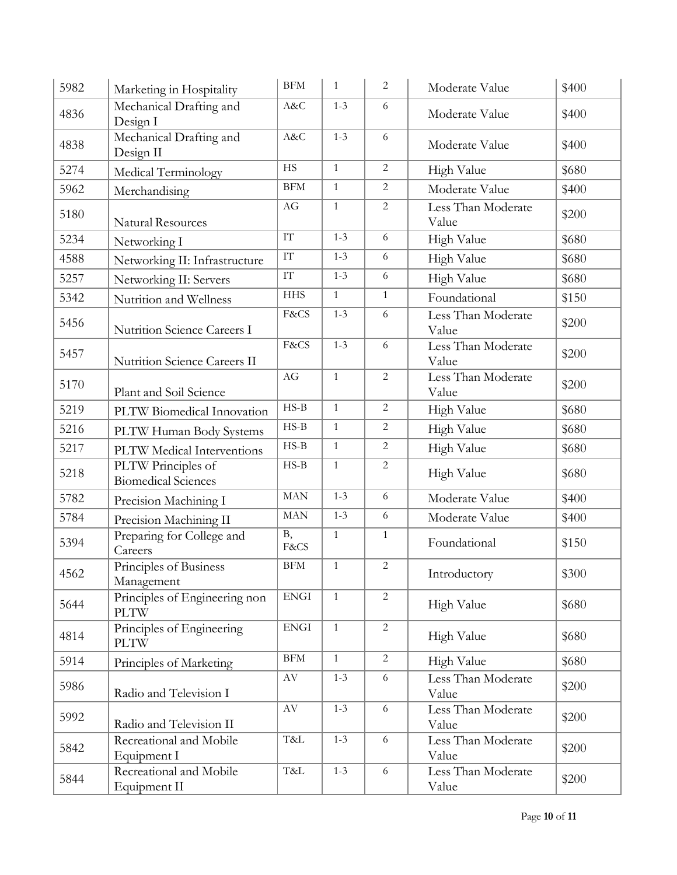| 5982 | Marketing in Hospitality                         | BFM                                              | $\mathbf{1}$ | $\overline{2}$ | Moderate Value              | \$400 |
|------|--------------------------------------------------|--------------------------------------------------|--------------|----------------|-----------------------------|-------|
| 4836 | Mechanical Drafting and<br>Design I              | A&C                                              | $1 - 3$      | 6              | Moderate Value              | \$400 |
| 4838 | Mechanical Drafting and<br>Design II             | A&C                                              | $1 - 3$      | 6              | Moderate Value              | \$400 |
| 5274 | Medical Terminology                              | <b>HS</b>                                        | $\mathbf{1}$ | $\overline{2}$ | High Value                  | \$680 |
| 5962 | Merchandising                                    | <b>BFM</b>                                       | $\mathbf{1}$ | $\overline{2}$ | Moderate Value              | \$400 |
| 5180 | <b>Natural Resources</b>                         | AG                                               | $\mathbf{1}$ | $\overline{2}$ | Less Than Moderate<br>Value | \$200 |
| 5234 | Networking I                                     | IT                                               | $1 - 3$      | 6              | High Value                  | \$680 |
| 4588 | Networking II: Infrastructure                    | $\mathcal{I}\mathcal{T}$                         | $1 - 3$      | 6              | High Value                  | \$680 |
| 5257 | Networking II: Servers                           | $\ensuremath{\mathsf{T}}\ensuremath{\mathsf{T}}$ | $1 - 3$      | 6              | High Value                  | \$680 |
| 5342 | Nutrition and Wellness                           | <b>HHS</b>                                       | $\mathbf{1}$ | $\mathbf{1}$   | Foundational                | \$150 |
| 5456 | Nutrition Science Careers I                      | F&CS                                             | $1 - 3$      | 6              | Less Than Moderate<br>Value | \$200 |
| 5457 | Nutrition Science Careers II                     | F&CS                                             | $1 - 3$      | 6              | Less Than Moderate<br>Value | \$200 |
| 5170 | Plant and Soil Science                           | AG                                               | $\mathbf{1}$ | $\overline{2}$ | Less Than Moderate<br>Value | \$200 |
| 5219 | PLTW Biomedical Innovation                       | $HS-B$                                           | $\mathbf{1}$ | $\overline{2}$ | High Value                  | \$680 |
| 5216 | PLTW Human Body Systems                          | $HS-B$                                           | $\mathbf{1}$ | $\sqrt{2}$     | High Value                  | \$680 |
| 5217 | PLTW Medical Interventions                       | $HS-B$                                           | $\mathbf{1}$ | $\overline{2}$ | High Value                  | \$680 |
| 5218 | PLTW Principles of<br><b>Biomedical Sciences</b> | $HS-B$                                           | $\mathbf{1}$ | $\overline{2}$ | High Value                  | \$680 |
| 5782 | Precision Machining I                            | MAN                                              | $1 - 3$      | 6              | Moderate Value              | \$400 |
| 5784 | Precision Machining II                           | MAN                                              | $1 - 3$      | 6              | Moderate Value              | \$400 |
| 5394 | Preparing for College and<br>Careers             | B,<br>F&CS                                       | $\mathbf{1}$ | $\mathbf{1}$   | Foundational                | \$150 |
| 4562 | Principles of Business<br>Management             | $\operatorname{BFM}$                             | $1\,$        | $\sqrt{2}$     | Introductory                | \$300 |
| 5644 | Principles of Engineering non<br><b>PLTW</b>     | <b>ENGI</b>                                      | $\mathbf{1}$ | $\overline{2}$ | High Value                  | \$680 |
| 4814 | Principles of Engineering<br><b>PLTW</b>         | ${\rm ENGI}$                                     | $\mathbf{1}$ | $\overline{2}$ | High Value                  | \$680 |
| 5914 | Principles of Marketing                          | $\operatorname{BFM}$                             | $\mathbf{1}$ | $\overline{2}$ | High Value                  | \$680 |
| 5986 | Radio and Television I                           | AV                                               | $1 - 3$      | 6              | Less Than Moderate<br>Value | \$200 |
| 5992 | Radio and Television II                          | $\rm{AV}$                                        | $1 - 3$      | 6              | Less Than Moderate<br>Value | \$200 |
| 5842 | Recreational and Mobile<br>Equipment I           | T&L                                              | $1 - 3$      | 6              | Less Than Moderate<br>Value | \$200 |
| 5844 | Recreational and Mobile<br>Equipment II          | T&L                                              | $1 - 3$      | 6              | Less Than Moderate<br>Value | \$200 |